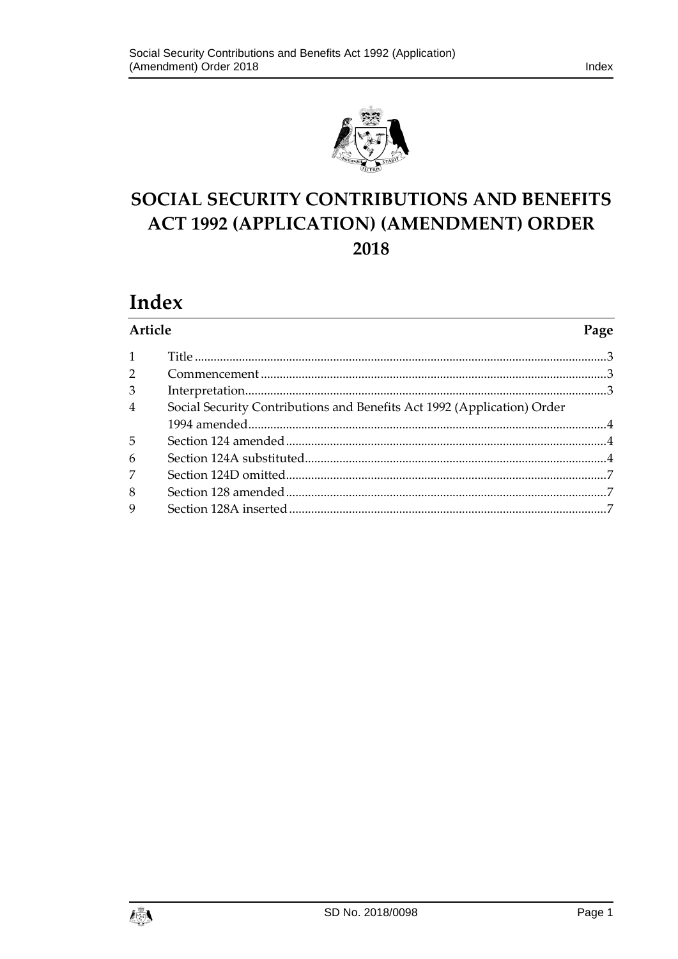

# SOCIAL SECURITY CONTRIBUTIONS AND BENEFITS **ACT 1992 (APPLICATION) (AMENDMENT) ORDER** 2018

# Index

|                | Article<br>Page                                                         |  |
|----------------|-------------------------------------------------------------------------|--|
|                |                                                                         |  |
| $\overline{2}$ |                                                                         |  |
| 3              |                                                                         |  |
| $\overline{4}$ | Social Security Contributions and Benefits Act 1992 (Application) Order |  |
|                |                                                                         |  |
| 5              |                                                                         |  |
| 6              |                                                                         |  |
| 7              |                                                                         |  |
| 8              |                                                                         |  |
| 9              |                                                                         |  |

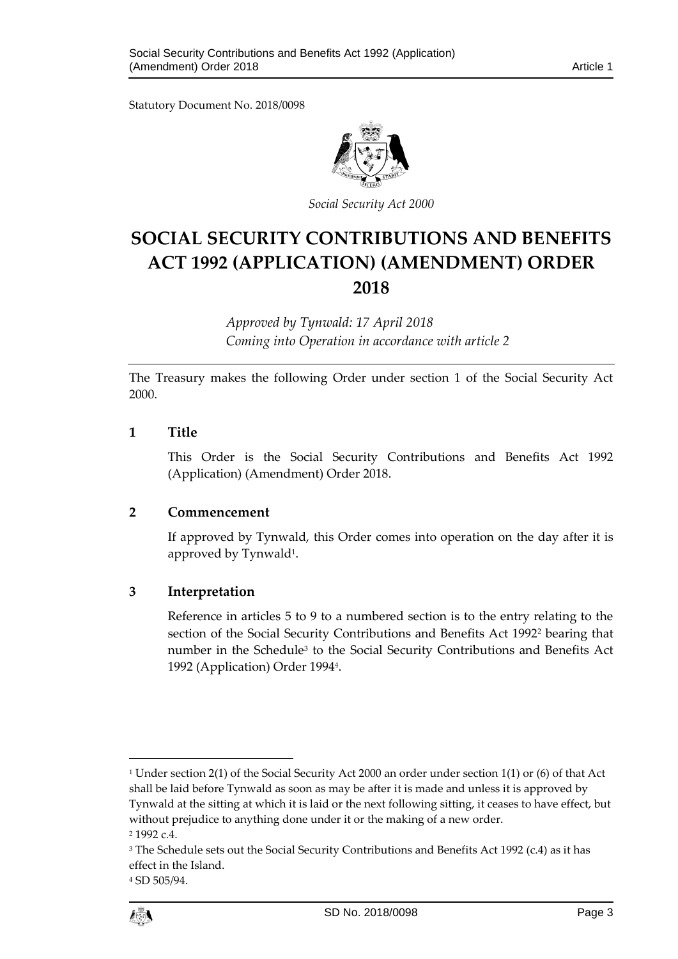Statutory Document No. 2018/0098



*Social Security Act 2000*

## **SOCIAL SECURITY CONTRIBUTIONS AND BENEFITS ACT 1992 (APPLICATION) (AMENDMENT) ORDER 2018**

*Approved by Tynwald: 17 April 2018 Coming into Operation in accordance with article 2*

The Treasury makes the following Order under section 1 of the Social Security Act 2000.

#### <span id="page-2-0"></span>**1 Title**

This Order is the Social Security Contributions and Benefits Act 1992 (Application) (Amendment) Order 2018.

## <span id="page-2-1"></span>**2 Commencement**

If approved by Tynwald, this Order comes into operation on the day after it is approved by Tynwald<sup>1</sup>.

## <span id="page-2-2"></span>**3 Interpretation**

Reference in articles 5 to 9 to a numbered section is to the entry relating to the section of the Social Security Contributions and Benefits Act 1992<sup>2</sup> bearing that number in the Schedule<sup>3</sup> to the Social Security Contributions and Benefits Act 1992 (Application) Order 1994<sup>4</sup> .

1

<sup>4</sup> SD 505/94.



<sup>1</sup> Under section 2(1) of the Social Security Act 2000 an order under section 1(1) or (6) of that Act shall be laid before Tynwald as soon as may be after it is made and unless it is approved by Tynwald at the sitting at which it is laid or the next following sitting, it ceases to have effect, but without prejudice to anything done under it or the making of a new order.

<sup>2</sup> 1992 c.4.

<sup>&</sup>lt;sup>3</sup> The Schedule sets out the Social Security Contributions and Benefits Act 1992 (c.4) as it has effect in the Island.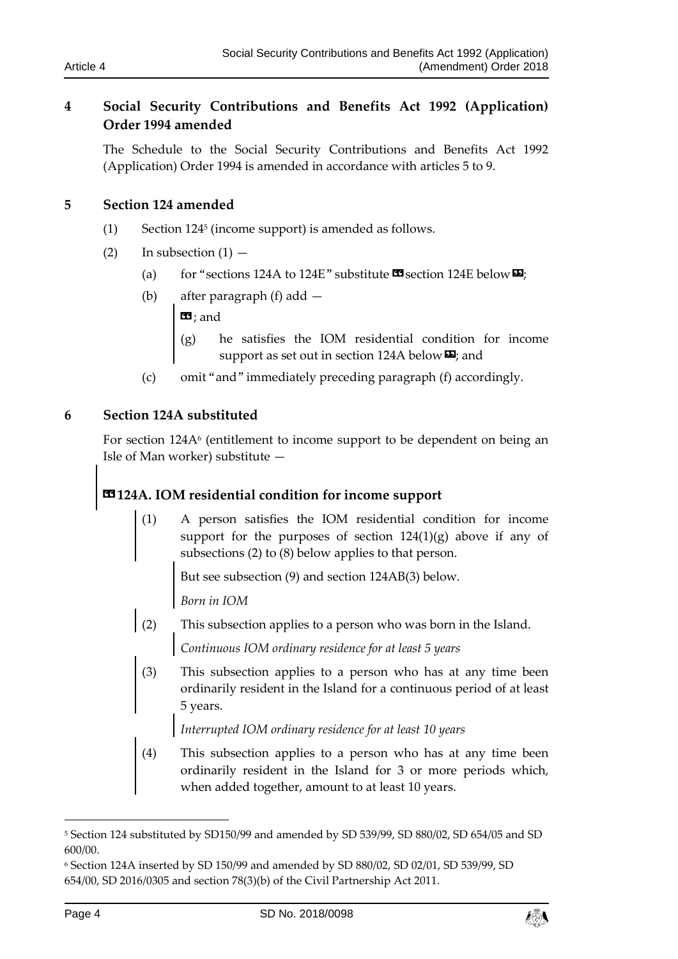## <span id="page-3-0"></span>**4 Social Security Contributions and Benefits Act 1992 (Application) Order 1994 amended**

The Schedule to the Social Security Contributions and Benefits Act 1992 (Application) Order 1994 is amended in accordance with articles 5 to 9.

## <span id="page-3-1"></span>**5 Section 124 amended**

- (1) Section 124<sup>5</sup> (income support) is amended as follows.
- (2) In subsection  $(1)$ 
	- (a) for "sections 124A to 124E" substitute  $\mathbf{C}$  section 124E below  $\mathbf{E}$ ;
	- (b) after paragraph (f) add  $\mathbf{G}$ ; and
		- (g) he satisfies the IOM residential condition for income support as set out in section 124A below  $\mathbf{E}$ ; and
	- (c) omit "and" immediately preceding paragraph (f) accordingly.

## <span id="page-3-2"></span>**6 Section 124A substituted**

For section 124A<sup>6</sup> (entitlement to income support to be dependent on being an Isle of Man worker) substitute —

## **«124A. IOM residential condition for income support**

(1) A person satisfies the IOM residential condition for income support for the purposes of section  $124(1)(g)$  above if any of subsections (2) to (8) below applies to that person.

But see subsection (9) and section 124AB(3) below.

*Born in IOM*

(2) This subsection applies to a person who was born in the Island. *Continuous IOM ordinary residence for at least 5 years*

(3) This subsection applies to a person who has at any time been ordinarily resident in the Island for a continuous period of at least 5 years.

*Interrupted IOM ordinary residence for at least 10 years*

(4) This subsection applies to a person who has at any time been ordinarily resident in the Island for 3 or more periods which, when added together, amount to at least 10 years.

-



<sup>5</sup> Section 124 substituted by SD150/99 and amended by SD 539/99, SD 880/02, SD 654/05 and SD 600/00.

<sup>6</sup> Section 124A inserted by SD 150/99 and amended by SD 880/02, SD 02/01, SD 539/99, SD 654/00, SD 2016/0305 and section 78(3)(b) of the Civil Partnership Act 2011.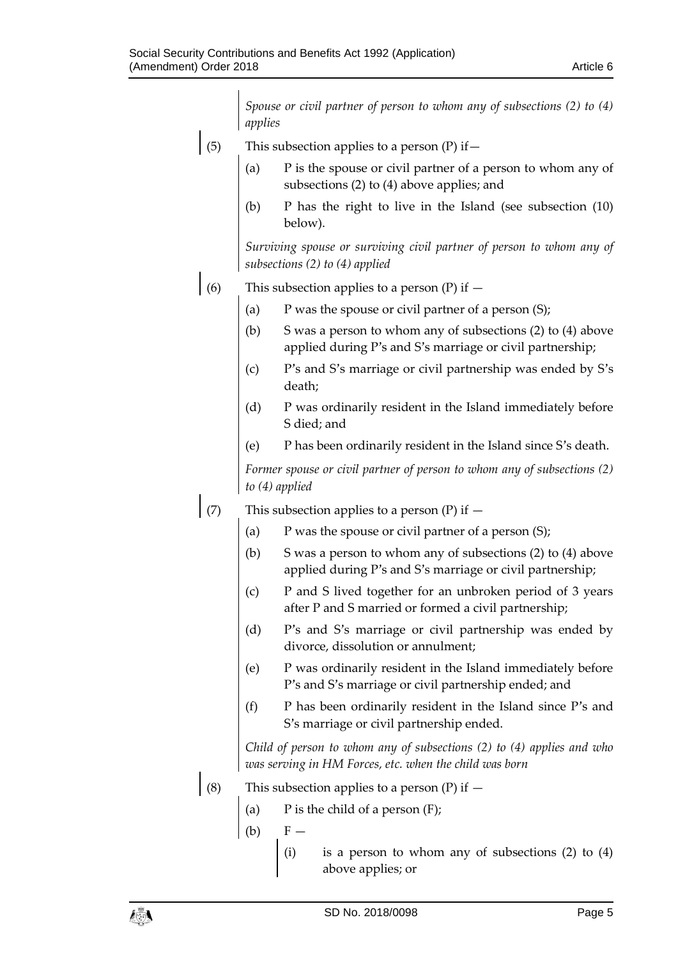|     | Spouse or civil partner of person to whom any of subsections (2) to (4)<br>applies                                                  |
|-----|-------------------------------------------------------------------------------------------------------------------------------------|
| (5) | This subsection applies to a person $(P)$ if $-$                                                                                    |
|     | P is the spouse or civil partner of a person to whom any of<br>(a)<br>subsections (2) to (4) above applies; and                     |
|     | P has the right to live in the Island (see subsection $(10)$<br>(b)<br>below).                                                      |
|     | Surviving spouse or surviving civil partner of person to whom any of<br>subsections (2) to (4) applied                              |
| (6) | This subsection applies to a person (P) if $-$                                                                                      |
|     | P was the spouse or civil partner of a person (S);<br>(a)                                                                           |
|     | S was a person to whom any of subsections (2) to (4) above<br>(b)<br>applied during P's and S's marriage or civil partnership;      |
|     | P's and S's marriage or civil partnership was ended by S's<br>(c)<br>death;                                                         |
|     | P was ordinarily resident in the Island immediately before<br>(d)<br>S died; and                                                    |
|     | P has been ordinarily resident in the Island since S's death.<br>(e)                                                                |
|     | Former spouse or civil partner of person to whom any of subsections (2)<br>to $(4)$ applied                                         |
| (7) | This subsection applies to a person (P) if $-$                                                                                      |
|     | P was the spouse or civil partner of a person (S);<br>(a)                                                                           |
|     | S was a person to whom any of subsections (2) to (4) above<br>(b)<br>applied during P's and S's marriage or civil partnership;      |
|     | P and S lived together for an unbroken period of 3 years<br>(c)<br>after P and S married or formed a civil partnership;             |
|     | (d)<br>P's and S's marriage or civil partnership was ended by<br>divorce, dissolution or annulment;                                 |
|     | P was ordinarily resident in the Island immediately before<br>(e)<br>P's and S's marriage or civil partnership ended; and           |
|     | (f)<br>P has been ordinarily resident in the Island since P's and<br>S's marriage or civil partnership ended.                       |
|     | Child of person to whom any of subsections $(2)$ to $(4)$ applies and who<br>was serving in HM Forces, etc. when the child was born |
| (8) | This subsection applies to a person $(P)$ if $-$                                                                                    |
|     | (a)<br>P is the child of a person $(F)$ ;                                                                                           |
|     | (b)<br>$F -$                                                                                                                        |
|     | (i)<br>is a person to whom any of subsections $(2)$ to $(4)$<br>above applies; or                                                   |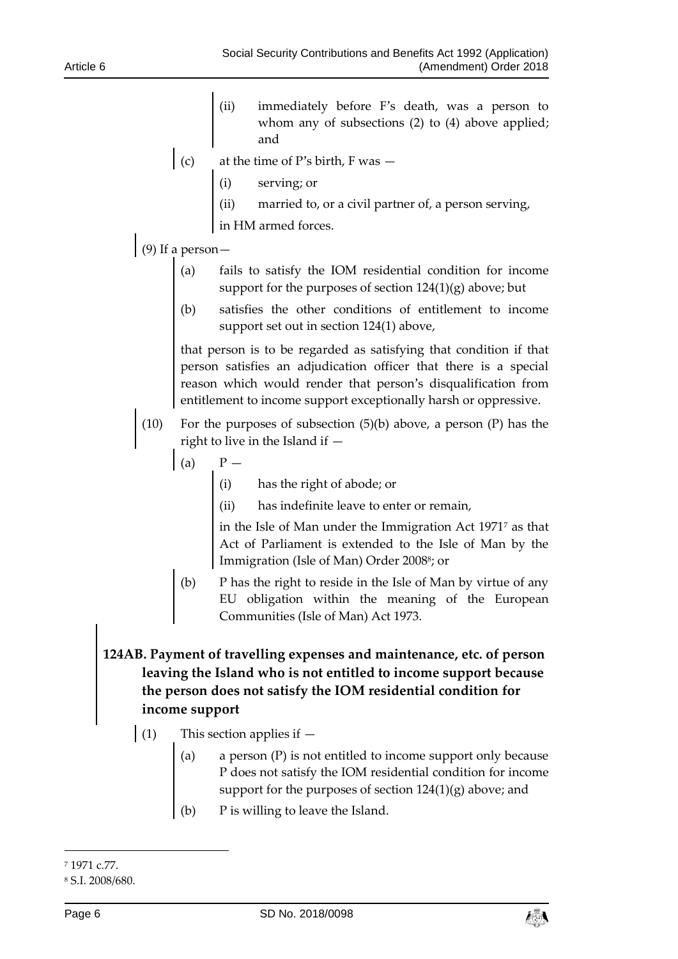- (ii) immediately before F's death, was a person to whom any of subsections (2) to (4) above applied; and
- $\int$  (c) at the time of P's birth, F was  $-$ 
	- (i) serving; or
	- (ii) married to, or a civil partner of, a person serving,
	- in HM armed forces.
- (9) If a person—
	- (a) fails to satisfy the IOM residential condition for income support for the purposes of section 124(1)(g) above; but
	- (b) satisfies the other conditions of entitlement to income support set out in section 124(1) above,

that person is to be regarded as satisfying that condition if that person satisfies an adjudication officer that there is a special reason which would render that person's disqualification from entitlement to income support exceptionally harsh or oppressive.

- (10) For the purposes of subsection  $(5)(b)$  above, a person  $(P)$  has the right to live in the Island if —
	- $\begin{array}{ccc} \text{(a)} & & \text{P} \end{array}$

 $P -$ <br>(i) has the right of abode; or

(ii) has indefinite leave to enter or remain,

in the Isle of Man under the Immigration Act 1971<sup>7</sup> as that Act of Parliament is extended to the Isle of Man by the Immigration (Isle of Man) Order 2008<sup>8</sup>; or

- (b) P has the right to reside in the Isle of Man by virtue of any EU obligation within the meaning of the European Communities (Isle of Man) Act 1973.
- **124AB. Payment of travelling expenses and maintenance, etc. of person leaving the Island who is not entitled to income support because the person does not satisfy the IOM residential condition for income support**
	- (1) This section applies if  $-$ 
		- (a) a person (P) is not entitled to income support only because P does not satisfy the IOM residential condition for income support for the purposes of section 124(1)(g) above; and
		- P is willing to leave the Island.

-



<sup>7</sup> 1971 c.77.

<sup>8</sup> S.I. 2008/680.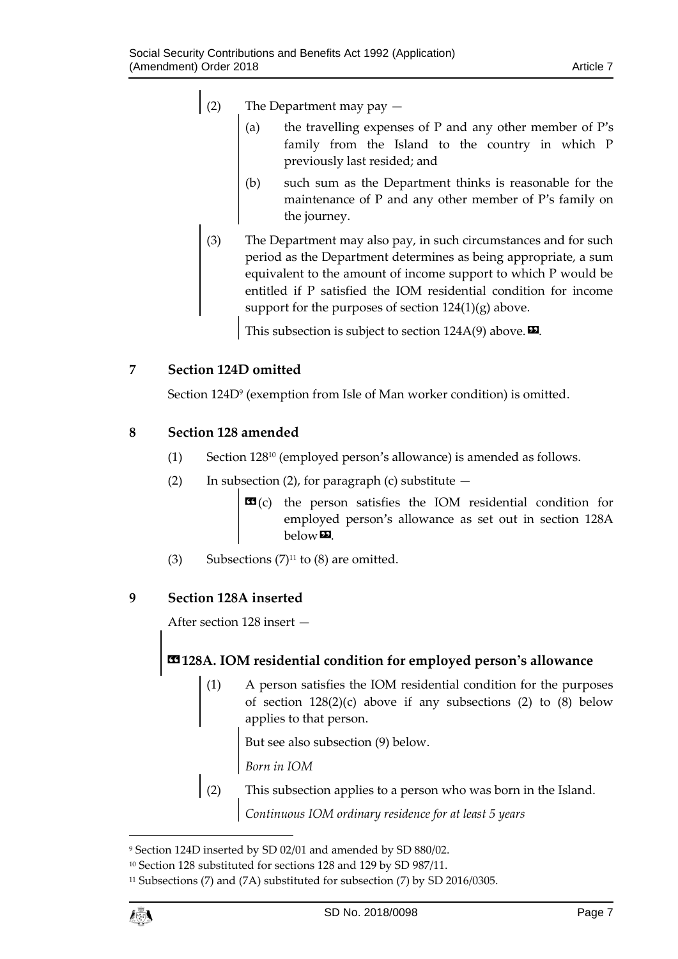## (2) The Department may pay —

- (a) the travelling expenses of P and any other member of P's family from the Island to the country in which P previously last resided; and
- (b) such sum as the Department thinks is reasonable for the maintenance of P and any other member of P's family on the journey.
- (3) The Department may also pay, in such circumstances and for such period as the Department determines as being appropriate, a sum equivalent to the amount of income support to which P would be entitled if P satisfied the IOM residential condition for income support for the purposes of section  $124(1)(g)$  above.

This subsection is subject to section  $124A(9)$  above.

## <span id="page-6-0"></span>**7 Section 124D omitted**

Section 124D<sup>9</sup> (exemption from Isle of Man worker condition) is omitted.

## <span id="page-6-1"></span>**8 Section 128 amended**

- (1) Section 128<sup>10</sup> (employed person's allowance) is amended as follows.
- (2) In subsection (2), for paragraph (c) substitute  $-$ 
	- **EG**(c) the person satisfies the IOM residential condition for employed person's allowance as set out in section 128A below».
- (3) Subsections  $(7)^{11}$  to (8) are omitted.

## <span id="page-6-2"></span>**9 Section 128A inserted**

After section 128 insert —

## **«128A. IOM residential condition for employed person's allowance**

(1) A person satisfies the IOM residential condition for the purposes of section  $128(2)(c)$  above if any subsections (2) to (8) below applies to that person.

But see also subsection (9) below.

*Born in IOM*

This subsection applies to a person who was born in the Island. *Continuous IOM ordinary residence for at least 5 years*

<sup>11</sup> Subsections (7) and (7A) substituted for subsection (7) by SD 2016/0305.



1

<sup>9</sup> Section 124D inserted by SD 02/01 and amended by SD 880/02.

<sup>10</sup> Section 128 substituted for sections 128 and 129 by SD 987/11.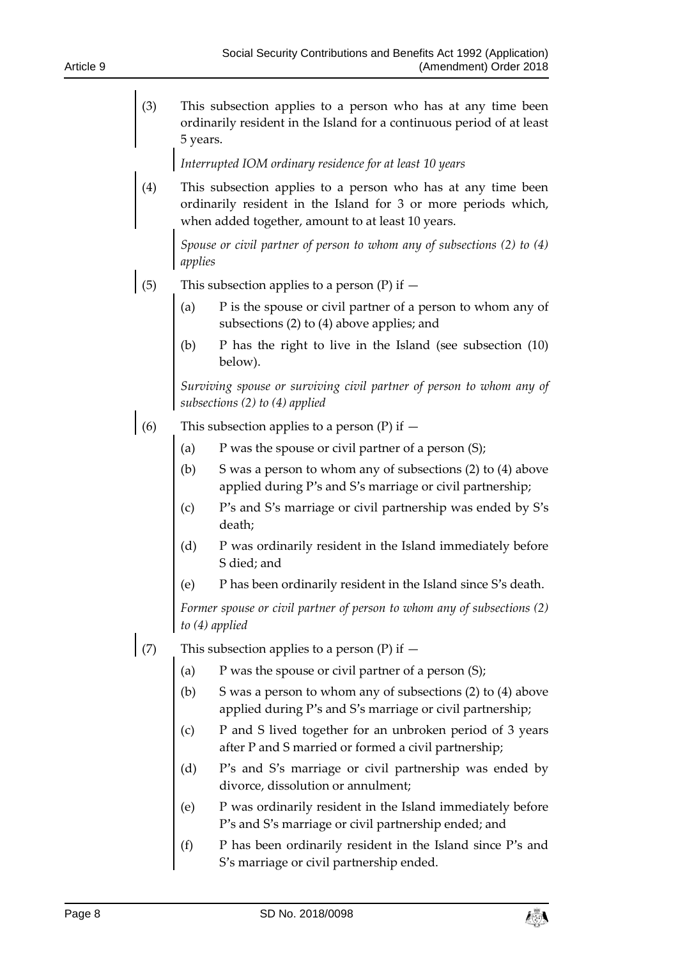(3) This subsection applies to a person who has at any time been ordinarily resident in the Island for a continuous period of at least 5 years.

*Interrupted IOM ordinary residence for at least 10 years*

(4) This subsection applies to a person who has at any time been ordinarily resident in the Island for 3 or more periods which, when added together, amount to at least 10 years.

*Spouse or civil partner of person to whom any of subsections (2) to (4) applies*

- (5) This subsection applies to a person (P) if  $-$ 
	- (a)  $P$  is the spouse or civil partner of a person to whom any of subsections (2) to (4) above applies; and
	- (b) P has the right to live in the Island (see subsection (10) below).

*Surviving spouse or surviving civil partner of person to whom any of subsections (2) to (4) applied*

- (6) This subsection applies to a person  $(P)$  if  $-$ 
	- (a)  $P$  was the spouse or civil partner of a person  $(S)$ ;
	- (b) S was a person to whom any of subsections (2) to (4) above applied during P's and S's marriage or civil partnership;
	- (c) P's and S's marriage or civil partnership was ended by S's death;
	- (d) P was ordinarily resident in the Island immediately before S died; and
	- (e) P has been ordinarily resident in the Island since S's death.

*Former spouse or civil partner of person to whom any of subsections (2) to (4) applied*

- (7) This subsection applies to a person (P) if  $-$ 
	- (a)  $P$  was the spouse or civil partner of a person  $(S)$ ;
	- (b) S was a person to whom any of subsections (2) to (4) above applied during P's and S's marriage or civil partnership;
	- (c) P and S lived together for an unbroken period of 3 years after P and S married or formed a civil partnership;
	- (d) P's and S's marriage or civil partnership was ended by divorce, dissolution or annulment;
	- (e) P was ordinarily resident in the Island immediately before P's and S's marriage or civil partnership ended; and
	- (f) P has been ordinarily resident in the Island since P's and S's marriage or civil partnership ended.

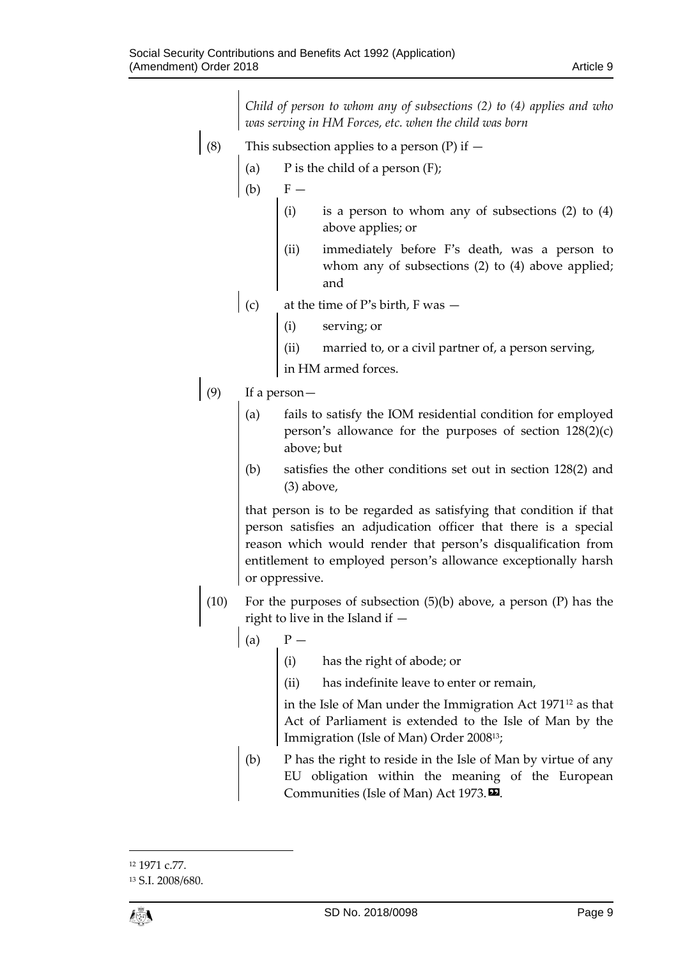*Child of person to whom any of subsections (2) to (4) applies and who was serving in HM Forces, etc. when the child was born*

- (8) This subsection applies to a person  $(P)$  if  $-$ 
	- (a)  $P$  is the child of a person  $(F)$ ;
	- $(b)$   $F -$ 
		- (i) is a person to whom any of subsections (2) to (4) above applies; or
		- (ii) immediately before F's death, was a person to whom any of subsections (2) to (4) above applied; and
	- (c) at the time of P's birth, F was  $-$ 
		- (i) serving; or
		- (ii) married to, or a civil partner of, a person serving,
		- in HM armed forces.
- (9) If a person—
	- (a) fails to satisfy the IOM residential condition for employed person's allowance for the purposes of section 128(2)(c) above; but
	- (b) satisfies the other conditions set out in section 128(2) and (3) above,

that person is to be regarded as satisfying that condition if that person satisfies an adjudication officer that there is a special reason which would render that person's disqualification from entitlement to employed person's allowance exceptionally harsh or oppressive.

- (10) For the purposes of subsection (5)(b) above, a person (P) has the right to live in the Island if —
	- $\begin{array}{ccc} \text{(a)} & & \text{P} \end{array}$ 
		- (i) has the right of abode; or
		- (ii) has indefinite leave to enter or remain,

in the Isle of Man under the Immigration Act  $1971^{12}$  as that Act of Parliament is extended to the Isle of Man by the Immigration (Isle of Man) Order 2008 13;

(b) P has the right to reside in the Isle of Man by virtue of any EU obligation within the meaning of the European Communities (Isle of Man) Act 1973.

 $\overline{a}$ <sup>12</sup> 1971 c.77. <sup>13</sup> S.I. 2008/680.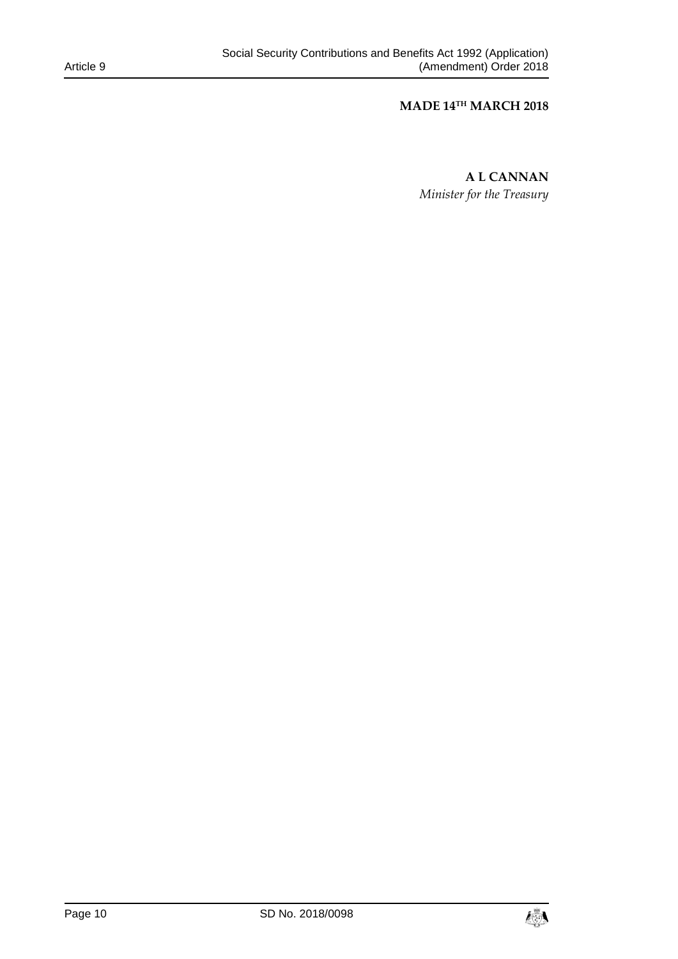## **MADE 14TH MARCH 2018**

**A L CANNAN** *Minister for the Treasury*